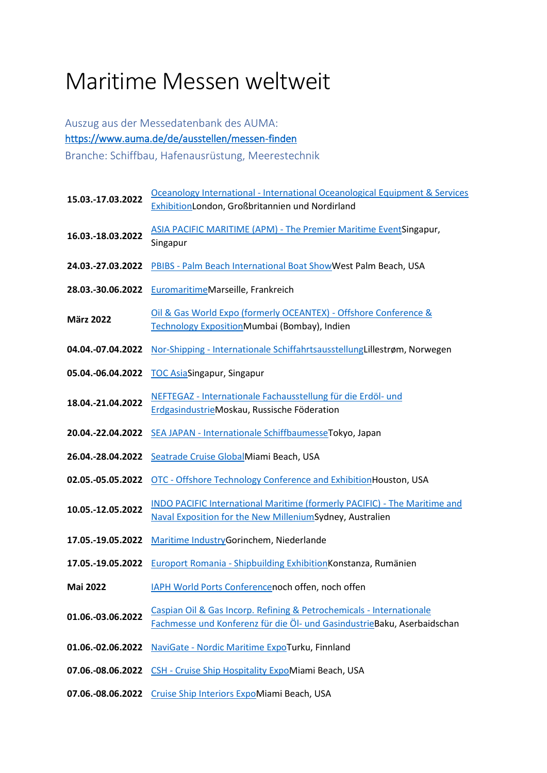## Maritime Messen weltweit

## Auszug aus der Messedatenbank des AUMA: <https://www.auma.de/de/ausstellen/messen-finden> Branche: Schiffbau, Hafenausrüstung, Meerestechnik

| 15.03.-17.03.2022 | Oceanology International - International Oceanological Equipment & Services                                                                     |
|-------------------|-------------------------------------------------------------------------------------------------------------------------------------------------|
|                   | ExhibitionLondon, Großbritannien und Nordirland                                                                                                 |
| 16.03.-18.03.2022 | ASIA PACIFIC MARITIME (APM) - The Premier Maritime EventSingapur,<br>Singapur                                                                   |
| 24.03.-27.03.2022 | PBIBS - Palm Beach International Boat Show West Palm Beach, USA                                                                                 |
| 28.03.-30.06.2022 | EuromaritimeMarseille, Frankreich                                                                                                               |
| <b>März 2022</b>  | Oil & Gas World Expo (formerly OCEANTEX) - Offshore Conference &<br>Technology ExpositionMumbai (Bombay), Indien                                |
| 04.04.-07.04.2022 | Nor-Shipping - Internationale SchiffahrtsausstellungLillestrøm, Norwegen                                                                        |
| 05.04.-06.04.2022 | <b>TOC AsiaSingapur, Singapur</b>                                                                                                               |
| 18.04.-21.04.2022 | NEFTEGAZ - Internationale Fachausstellung für die Erdöl- und<br>ErdgasindustrieMoskau, Russische Föderation                                     |
| 20.04.-22.04.2022 | SEA JAPAN - Internationale Schiffbaumesse Tokyo, Japan                                                                                          |
| 26.04.-28.04.2022 | Seatrade Cruise GlobalMiami Beach, USA                                                                                                          |
| 02.05.-05.05.2022 | OTC - Offshore Technology Conference and Exhibition Houston, USA                                                                                |
| 10.05.-12.05.2022 | INDO PACIFIC International Maritime (formerly PACIFIC) - The Maritime and<br>Naval Exposition for the New MilleniumSydney, Australien           |
| 17.05.-19.05.2022 | Maritime IndustryGorinchem, Niederlande                                                                                                         |
| 17.05.-19.05.2022 | Europort Romania - Shipbuilding Exhibition Konstanza, Rumänien                                                                                  |
| <b>Mai 2022</b>   | IAPH World Ports Conferencenoch offen, noch offen                                                                                               |
| 01.06.-03.06.2022 | Caspian Oil & Gas Incorp. Refining & Petrochemicals - Internationale<br>Fachmesse und Konferenz für die Öl- und GasindustrieBaku, Aserbaidschan |
| 01.06.-02.06.2022 | NaviGate - Nordic Maritime ExpoTurku, Finnland                                                                                                  |
| 07.06.-08.06.2022 | CSH - Cruise Ship Hospitality ExpoMiami Beach, USA                                                                                              |
| 07.06.-08.06.2022 | Cruise Ship Interiors ExpoMiami Beach, USA                                                                                                      |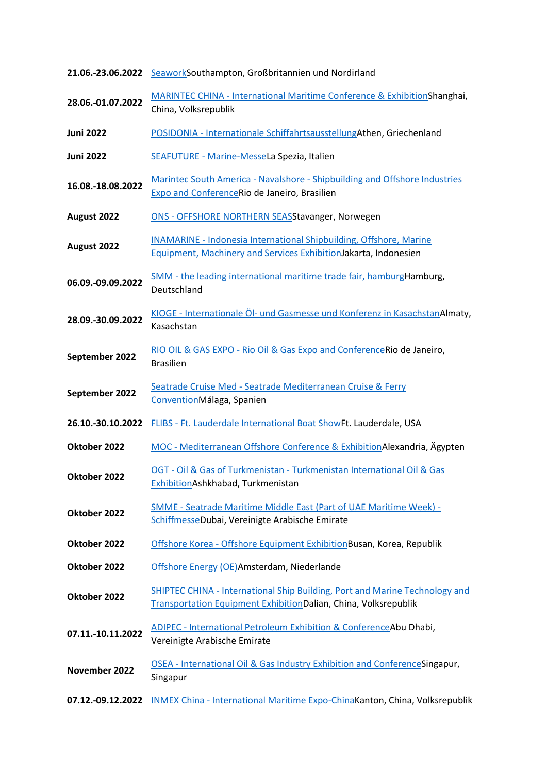|                   | 21.06.-23.06.2022 SeaworkSouthampton, Großbritannien und Nordirland                                                                                   |
|-------------------|-------------------------------------------------------------------------------------------------------------------------------------------------------|
| 28.06.-01.07.2022 | MARINTEC CHINA - International Maritime Conference & ExhibitionShanghai,<br>China, Volksrepublik                                                      |
| <b>Juni 2022</b>  | POSIDONIA - Internationale SchiffahrtsausstellungAthen, Griechenland                                                                                  |
| <b>Juni 2022</b>  | SEAFUTURE - Marine-MesseLa Spezia, Italien                                                                                                            |
| 16.08.-18.08.2022 | Marintec South America - Navalshore - Shipbuilding and Offshore Industries<br><b>Expo and Conference Rio de Janeiro, Brasilien</b>                    |
| August 2022       | ONS - OFFSHORE NORTHERN SEASStavanger, Norwegen                                                                                                       |
| August 2022       | <b>INAMARINE - Indonesia International Shipbuilding, Offshore, Marine</b><br>Equipment, Machinery and Services ExhibitionJakarta, Indonesien          |
| 06.09.-09.09.2022 | SMM - the leading international maritime trade fair, hamburgHamburg,<br>Deutschland                                                                   |
| 28.09.-30.09.2022 | KIOGE - Internationale Öl- und Gasmesse und Konferenz in Kasachstan Almaty,<br>Kasachstan                                                             |
| September 2022    | RIO OIL & GAS EXPO - Rio Oil & Gas Expo and ConferenceRio de Janeiro,<br><b>Brasilien</b>                                                             |
| September 2022    | Seatrade Cruise Med - Seatrade Mediterranean Cruise & Ferry<br>ConventionMálaga, Spanien                                                              |
| 26.10.-30.10.2022 | FLIBS - Ft. Lauderdale International Boat ShowFt. Lauderdale, USA                                                                                     |
| Oktober 2022      | MOC - Mediterranean Offshore Conference & ExhibitionAlexandria, Ägypten                                                                               |
| Oktober 2022      | OGT - Oil & Gas of Turkmenistan - Turkmenistan International Oil & Gas<br>ExhibitionAshkhabad, Turkmenistan                                           |
| Oktober 2022      | SMME - Seatrade Maritime Middle East (Part of UAE Maritime Week) -<br>SchiffmesseDubai, Vereinigte Arabische Emirate                                  |
| Oktober 2022      | Offshore Korea - Offshore Equipment ExhibitionBusan, Korea, Republik                                                                                  |
| Oktober 2022      | Offshore Energy (OE)Amsterdam, Niederlande                                                                                                            |
| Oktober 2022      | SHIPTEC CHINA - International Ship Building, Port and Marine Technology and<br><b>Transportation Equipment ExhibitionDalian, China, Volksrepublik</b> |
| 07.11.-10.11.2022 | <b>ADIPEC - International Petroleum Exhibition &amp; ConferenceAbu Dhabi,</b><br>Vereinigte Arabische Emirate                                         |
| November 2022     | OSEA - International Oil & Gas Industry Exhibition and ConferenceSingapur,<br>Singapur                                                                |
| 07.12.-09.12.2022 | <b>INMEX China - International Maritime Expo-ChinaKanton, China, Volksrepublik</b>                                                                    |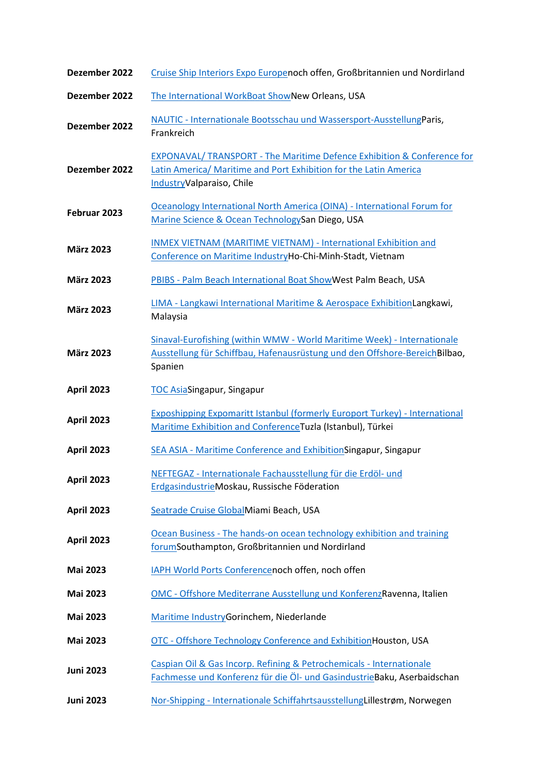| Dezember 2022     | Cruise Ship Interiors Expo Europenoch offen, Großbritannien und Nordirland                                                                                                |
|-------------------|---------------------------------------------------------------------------------------------------------------------------------------------------------------------------|
| Dezember 2022     | The International WorkBoat ShowNew Orleans, USA                                                                                                                           |
| Dezember 2022     | NAUTIC - Internationale Bootsschau und Wassersport-AusstellungParis,<br>Frankreich                                                                                        |
| Dezember 2022     | EXPONAVAL/ TRANSPORT - The Maritime Defence Exhibition & Conference for<br>Latin America/ Maritime and Port Exhibition for the Latin America<br>IndustryValparaiso, Chile |
| Februar 2023      | Oceanology International North America (OINA) - International Forum for<br>Marine Science & Ocean TechnologySan Diego, USA                                                |
| <b>März 2023</b>  | INMEX VIETNAM (MARITIME VIETNAM) - International Exhibition and<br>Conference on Maritime IndustryHo-Chi-Minh-Stadt, Vietnam                                              |
| <b>März 2023</b>  | PBIBS - Palm Beach International Boat ShowWest Palm Beach, USA                                                                                                            |
| <b>März 2023</b>  | LIMA - Langkawi International Maritime & Aerospace ExhibitionLangkawi,<br>Malaysia                                                                                        |
| <b>März 2023</b>  | Sinaval-Eurofishing (within WMW - World Maritime Week) - Internationale<br>Ausstellung für Schiffbau, Hafenausrüstung und den Offshore-Bereich Bilbao,<br>Spanien         |
| <b>April 2023</b> | <b>TOC AsiaSingapur, Singapur</b>                                                                                                                                         |
| <b>April 2023</b> | <b>Exposhipping Expomaritt Istanbul (formerly Europort Turkey) - International</b><br>Maritime Exhibition and Conference Tuzla (Istanbul), Türkei                         |
| <b>April 2023</b> | SEA ASIA - Maritime Conference and ExhibitionSingapur, Singapur                                                                                                           |
| <b>April 2023</b> | NEFTEGAZ - Internationale Fachausstellung für die Erdöl- und<br>ErdgasindustrieMoskau, Russische Föderation                                                               |
| <b>April 2023</b> | Seatrade Cruise GlobalMiami Beach, USA                                                                                                                                    |
| <b>April 2023</b> | Ocean Business - The hands-on ocean technology exhibition and training<br>forumSouthampton, Großbritannien und Nordirland                                                 |
| <b>Mai 2023</b>   | IAPH World Ports Conferencenoch offen, noch offen                                                                                                                         |
| <b>Mai 2023</b>   | OMC - Offshore Mediterrane Ausstellung und KonferenzRavenna, Italien                                                                                                      |
| <b>Mai 2023</b>   | Maritime IndustryGorinchem, Niederlande                                                                                                                                   |
| <b>Mai 2023</b>   | OTC - Offshore Technology Conference and ExhibitionHouston, USA                                                                                                           |
| <b>Juni 2023</b>  | Caspian Oil & Gas Incorp. Refining & Petrochemicals - Internationale<br>Fachmesse und Konferenz für die Öl- und GasindustrieBaku, Aserbaidschan                           |
| <b>Juni 2023</b>  | Nor-Shipping - Internationale SchiffahrtsausstellungLillestrøm, Norwegen                                                                                                  |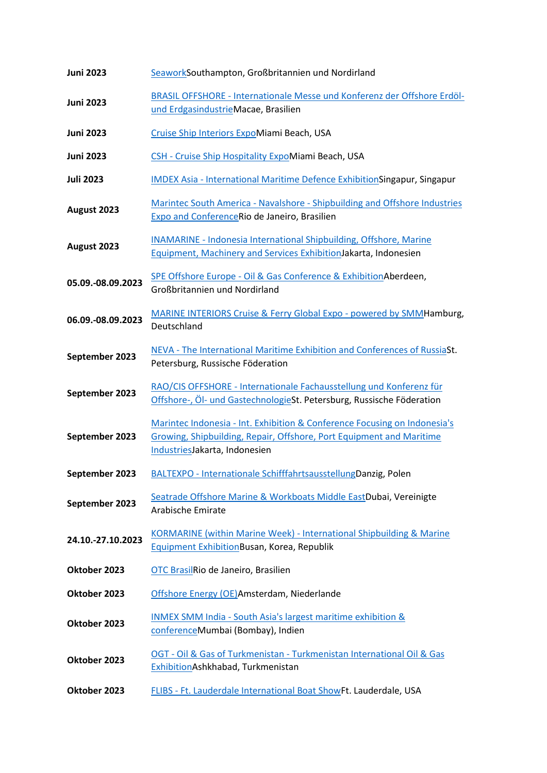| <b>Juni 2023</b>  | SeaworkSouthampton, Großbritannien und Nordirland                                                                                                                                  |
|-------------------|------------------------------------------------------------------------------------------------------------------------------------------------------------------------------------|
| <b>Juni 2023</b>  | BRASIL OFFSHORE - Internationale Messe und Konferenz der Offshore Erdöl-<br>und ErdgasindustrieMacae, Brasilien                                                                    |
| <b>Juni 2023</b>  | Cruise Ship Interiors ExpoMiami Beach, USA                                                                                                                                         |
| <b>Juni 2023</b>  | CSH - Cruise Ship Hospitality ExpoMiami Beach, USA                                                                                                                                 |
| <b>Juli 2023</b>  | <b>IMDEX Asia - International Maritime Defence ExhibitionSingapur, Singapur</b>                                                                                                    |
| August 2023       | Marintec South America - Navalshore - Shipbuilding and Offshore Industries<br>Expo and ConferenceRio de Janeiro, Brasilien                                                         |
| August 2023       | <b>INAMARINE - Indonesia International Shipbuilding, Offshore, Marine</b><br>Equipment, Machinery and Services Exhibition Jakarta, Indonesien                                      |
| 05.09.-08.09.2023 | SPE Offshore Europe - Oil & Gas Conference & Exhibition Aberdeen,<br>Großbritannien und Nordirland                                                                                 |
| 06.09.-08.09.2023 | MARINE INTERIORS Cruise & Ferry Global Expo - powered by SMMHamburg,<br>Deutschland                                                                                                |
| September 2023    | NEVA - The International Maritime Exhibition and Conferences of RussiaSt.<br>Petersburg, Russische Föderation                                                                      |
| September 2023    | RAO/CIS OFFSHORE - Internationale Fachausstellung und Konferenz für<br>Offshore-, Öl- und GastechnologieSt. Petersburg, Russische Föderation                                       |
| September 2023    | Marintec Indonesia - Int. Exhibition & Conference Focusing on Indonesia's<br>Growing, Shipbuilding, Repair, Offshore, Port Equipment and Maritime<br>IndustriesJakarta, Indonesien |
| September 2023    | BALTEXPO - Internationale SchifffahrtsausstellungDanzig, Polen                                                                                                                     |
| September 2023    | Seatrade Offshore Marine & Workboats Middle EastDubai, Vereinigte<br>Arabische Emirate                                                                                             |
| 24.10.-27.10.2023 | <b>KORMARINE (within Marine Week) - International Shipbuilding &amp; Marine</b><br><b>Equipment ExhibitionBusan, Korea, Republik</b>                                               |
| Oktober 2023      | OTC BrasilRio de Janeiro, Brasilien                                                                                                                                                |
| Oktober 2023      | Offshore Energy (OE)Amsterdam, Niederlande                                                                                                                                         |
| Oktober 2023      | <b>INMEX SMM India - South Asia's largest maritime exhibition &amp;</b><br>conferenceMumbai (Bombay), Indien                                                                       |
| Oktober 2023      | OGT - Oil & Gas of Turkmenistan - Turkmenistan International Oil & Gas<br>ExhibitionAshkhabad, Turkmenistan                                                                        |
| Oktober 2023      | FLIBS - Ft. Lauderdale International Boat ShowFt. Lauderdale, USA                                                                                                                  |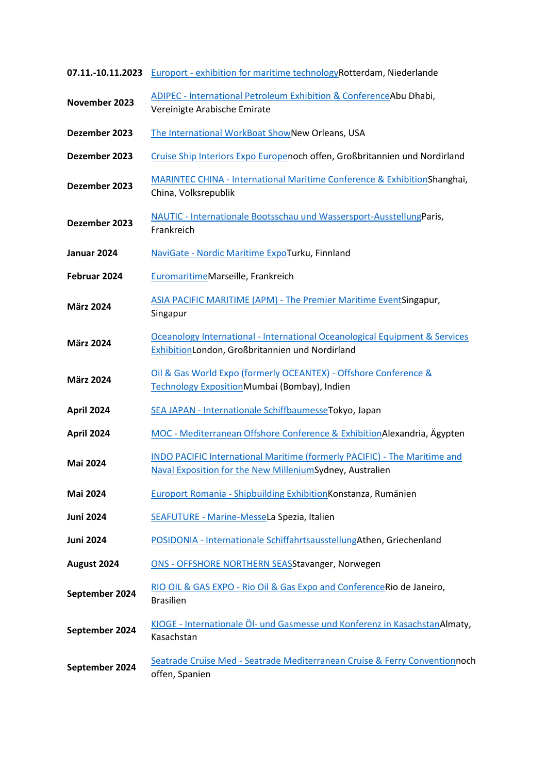| 07.11.-10.11.2023 | Europort - exhibition for maritime technology Rotterdam, Niederlande                                                                  |
|-------------------|---------------------------------------------------------------------------------------------------------------------------------------|
| November 2023     | <b>ADIPEC - International Petroleum Exhibition &amp; ConferenceAbu Dhabi,</b><br>Vereinigte Arabische Emirate                         |
| Dezember 2023     | The International WorkBoat ShowNew Orleans, USA                                                                                       |
| Dezember 2023     | Cruise Ship Interiors Expo Europenoch offen, Großbritannien und Nordirland                                                            |
| Dezember 2023     | MARINTEC CHINA - International Maritime Conference & ExhibitionShanghai,<br>China, Volksrepublik                                      |
| Dezember 2023     | NAUTIC - Internationale Bootsschau und Wassersport-AusstellungParis,<br>Frankreich                                                    |
| Januar 2024       | NaviGate - Nordic Maritime ExpoTurku, Finnland                                                                                        |
| Februar 2024      | EuromaritimeMarseille, Frankreich                                                                                                     |
| <b>März 2024</b>  | ASIA PACIFIC MARITIME (APM) - The Premier Maritime EventSingapur,<br>Singapur                                                         |
| <b>März 2024</b>  | Oceanology International - International Oceanological Equipment & Services<br>ExhibitionLondon, Großbritannien und Nordirland        |
| <b>März 2024</b>  | Oil & Gas World Expo (formerly OCEANTEX) - Offshore Conference &<br>Technology ExpositionMumbai (Bombay), Indien                      |
| <b>April 2024</b> | SEA JAPAN - Internationale SchiffbaumesseTokyo, Japan                                                                                 |
| <b>April 2024</b> | MOC - Mediterranean Offshore Conference & ExhibitionAlexandria, Ägypten                                                               |
| <b>Mai 2024</b>   | INDO PACIFIC International Maritime (formerly PACIFIC) - The Maritime and<br>Naval Exposition for the New MilleniumSydney, Australien |
| <b>Mai 2024</b>   | Europort Romania - Shipbuilding Exhibition Konstanza, Rumänien                                                                        |
| <b>Juni 2024</b>  | SEAFUTURE - Marine-MesseLa Spezia, Italien                                                                                            |
| <b>Juni 2024</b>  | POSIDONIA - Internationale SchiffahrtsausstellungAthen, Griechenland                                                                  |
| August 2024       | ONS - OFFSHORE NORTHERN SEASStavanger, Norwegen                                                                                       |
| September 2024    | RIO OIL & GAS EXPO - Rio Oil & Gas Expo and Conference Rio de Janeiro,<br><b>Brasilien</b>                                            |
| September 2024    | KIOGE - Internationale Öl- und Gasmesse und Konferenz in KasachstanAlmaty,<br>Kasachstan                                              |
| September 2024    | Seatrade Cruise Med - Seatrade Mediterranean Cruise & Ferry Conventionnoch<br>offen, Spanien                                          |